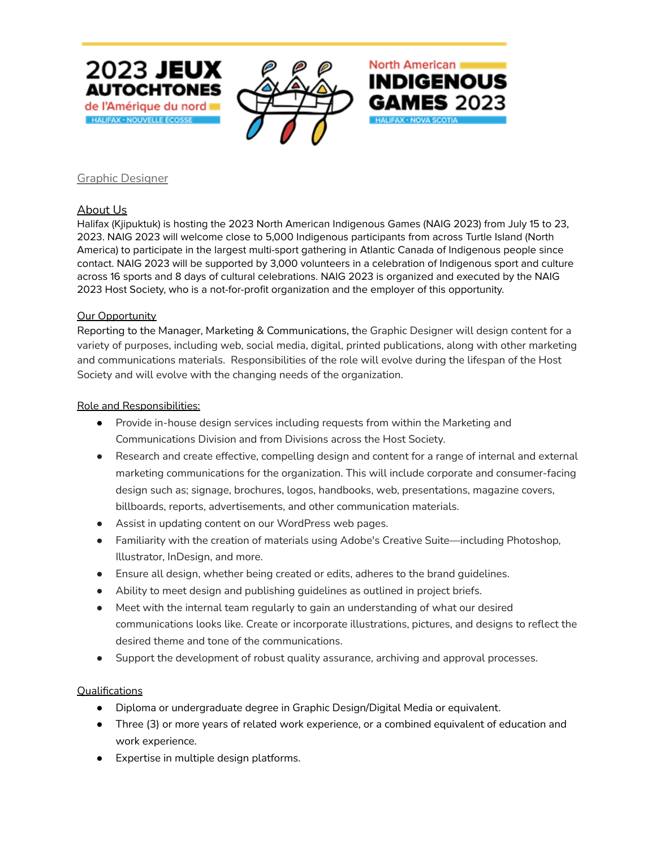



North American

HALIFAX · NOVA SCOTIA

**INDIGENOUS** 

GAMES 2023

### Graphic Designer

# About Us

Halifax (Kjipuktuk) is hosting the 2023 North American Indigenous Games (NAIG 2023) from July 15 to 23, 2023. NAIG 2023 will welcome close to 5,000 Indigenous participants from across Turtle Island (North America) to participate in the largest multi-sport gathering in Atlantic Canada of Indigenous people since contact. NAIG 2023 will be supported by 3,000 volunteers in a celebration of Indigenous sport and culture across 16 sports and 8 days of cultural celebrations. NAIG 2023 is organized and executed by the NAIG 2023 Host Society, who is a not-for-profit organization and the employer of this opportunity.

#### Our Opportunity

Reporting to the Manager, Marketing & Communications, the Graphic Designer will design content for a variety of purposes, including web, social media, digital, printed publications, along with other marketing and communications materials. Responsibilities of the role will evolve during the lifespan of the Host Society and will evolve with the changing needs of the organization.

#### Role and Responsibilities:

- Provide in-house design services including requests from within the Marketing and Communications Division and from Divisions across the Host Society.
- Research and create effective, compelling design and content for a range of internal and external marketing communications for the organization. This will include corporate and consumer-facing design such as; signage, brochures, logos, handbooks, web, presentations, magazine covers, billboards, reports, advertisements, and other communication materials.
- Assist in updating content on our WordPress web pages.
- Familiarity with the creation of materials using Adobe's Creative Suite—including Photoshop, Illustrator, InDesign, and more.
- Ensure all design, whether being created or edits, adheres to the brand guidelines.
- Ability to meet design and publishing guidelines as outlined in project briefs.
- Meet with the internal team regularly to gain an understanding of what our desired communications looks like. Create or incorporate illustrations, pictures, and designs to reflect the desired theme and tone of the communications.
- Support the development of robust quality assurance, archiving and approval processes.

# Qualifications

- Diploma or undergraduate degree in Graphic Design/Digital Media or equivalent.
- Three (3) or more years of related work experience, or a combined equivalent of education and work experience.
- Expertise in multiple design platforms.